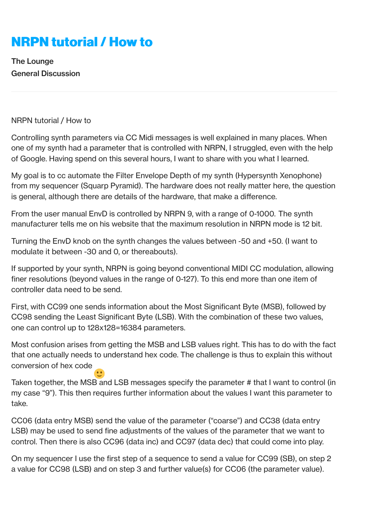## **[NRPN tutorial / How to](https://www.elektronauts.com/t/nrpn-tutorial-how-to/46669)**

[The Lounge](https://www.elektronauts.com/c/the-lounge) [General Discussion](https://www.elektronauts.com/c/the-lounge/general-discussion)

NRPN tutorial / How to

Controlling synth parameters via CC Midi messages is well explained in many places. When one of my synth had a parameter that is controlled with NRPN, I struggled, even with the help of Google. Having spend on this several hours, I want to share with you what I learned.

My goal is to cc automate the Filter Envelope Depth of my synth (Hypersynth Xenophone) from my sequencer (Squarp Pyramid). The hardware does not really matter here, the question is general, although there are details of the hardware, that make a difference.

From the user manual EnvD is controlled by NRPN 9, with a range of 0-1000. The synth manufacturer tells me on his website that the maximum resolution in NRPN mode is 12 bit.

Turning the EnvD knob on the synth changes the values between -50 and +50. (I want to modulate it between -30 and 0, or thereabouts).

If supported by your synth, NRPN is going beyond conventional MIDI CC modulation, allowing finer resolutions (beyond values in the range of 0-127). To this end more than one item of controller data need to be send.

First, with CC99 one sends information about the Most Significant Byte (MSB), followed by CC98 sending the Least Significant Byte (LSB). With the combination of these two values, one can control up to 128x128=16384 parameters.

Most confusion arises from getting the MSB and LSB values right. This has to do with the fact that one actually needs to understand hex code. The challenge is thus to explain this without conversion of hex code

Taken together, the MSB and LSB messages specify the parameter # that I want to control (in my case "9"). This then requires further information about the values I want this parameter to take.

CC06 (data entry MSB) send the value of the parameter ("coarse") and CC38 (data entry LSB) may be used to send fine adjustments of the values of the parameter that we want to control. Then there is also CC96 (data inc) and CC97 (data dec) that could come into play.

On my sequencer I use the first step of a sequence to send a value for CC99 (SB), on step 2 a value for CC98 (LSB) and on step 3 and further value(s) for CC06 (the parameter value).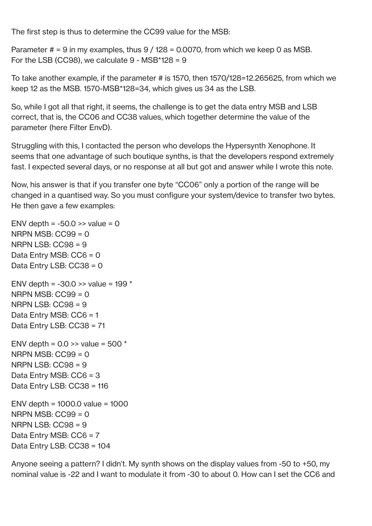The first step is thus to determine the CC99 value for the MSB:

Parameter  $# = 9$  in my examples, thus  $9/128 = 0.0070$ , from which we keep 0 as MSB. For the LSB (CC98), we calculate  $9 - \text{MSB*128} = 9$ 

To take another example, if the parameter # is 1570, then 1570/128=12.265625, from which we keep 12 as the MSB. 1570-MSB\*128=34, which gives us 34 as the LSB.

So, while I got all that right, it seems, the challenge is to get the data entry MSB and LSB correct, that is, the CC06 and CC38 values, which together determine the value of the parameter (here Filter EnvD).

Struggling with this, I contacted the person who develops the Hypersynth Xenophone. It seems that one advantage of such boutique synths, is that the developers respond extremely fast. I expected several days, or no response at all but got and answer while I wrote this note.

Now, his answer is that if you transfer one byte "CC06" only a portion of the range will be changed in a quantised way. So you must configure your system/device to transfer two bytes. He then gave a few examples:

```
ENV depth = -50.0 \gg value = 0
NRPN MSB: CC99 = 0
NRPN LSB: CC98 = 9Data Entry MSB: CC6 = 0
Data Entry LSB: CC38 = 0
ENV depth = -30.0 \gg value = 199 *NRPN MSB: CC99 = 0NRPN LSB: CC98 = 9Data Entry MSB: CC6 = 1
Data Entry LSB: CC38 = 71
ENV depth = 0.0 \gg value = 500 *NRPN MSB: CC99 = 0NRPN LSB: CC98 = 9Data Entry MSB: CC6 = 3
Data Entry LSB: CC38 = 116
ENV depth = 1000.0 value = 1000
NRPN MSB\cdot CC99 = 0
NRPN LSB: CC98 = 9Data Entry MSB: CC6 = 7
Data Entry LSB: CC38 = 104
```
Anyone seeing a pattern? I didn't. My synth shows on the display values from -50 to +50, my nominal value is -22 and I want to modulate it from -30 to about 0. How can I set the CC6 and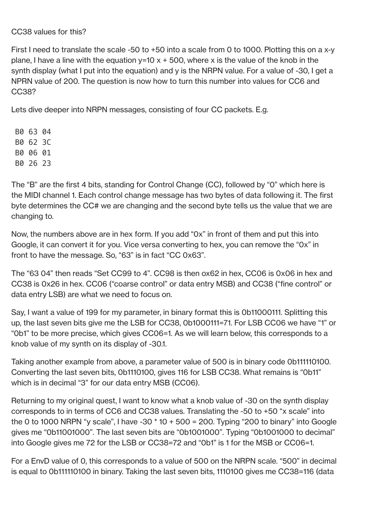CC38 values for this?

First I need to translate the scale -50 to +50 into a scale from 0 to 1000. Plotting this on a x-y plane, I have a line with the equation  $y=10 \times +500$ , where x is the value of the knob in the synth display (what I put into the equation) and y is the NRPN value. For a value of -30, I get a NPRN value of 200. The question is now how to turn this number into values for CC6 and CC38?

Lets dive deeper into NRPN messages, consisting of four CC packets. E.g.

B0 63 04 B0 62 3C B0 06 01 B0 26 23

The "B" are the first 4 bits, standing for Control Change (CC), followed by "0" which here is the MIDI channel 1. Each control change message has two bytes of data following it. The first byte determines the CC# we are changing and the second byte tells us the value that we are changing to.

Now, the numbers above are in hex form. If you add "0x" in front of them and put this into Google, it can convert it for you. Vice versa converting to hex, you can remove the "0x" in front to have the message. So, "63" is in fact "CC 0x63".

The "63 04" then reads "Set CC99 to 4". CC98 is then ox62 in hex, CC06 is 0x06 in hex and CC38 is 0x26 in hex. CC06 ("coarse control" or data entry MSB) and CC38 ("fine control" or data entry LSB) are what we need to focus on.

Say, I want a value of 199 for my parameter, in binary format this is 0b11000111. Splitting this up, the last seven bits give me the LSB for CC38, 0b1000111=71. For LSB CC06 we have "1" or "0b1" to be more precise, which gives CC06=1. As we will learn below, this corresponds to a knob value of my synth on its display of -30.1.

Taking another example from above, a parameter value of 500 is in binary code 0b111110100. Converting the last seven bits, 0b1110100, gives 116 for LSB CC38. What remains is "0b11" which is in decimal "3" for our data entry MSB (CC06).

Returning to my original quest, I want to know what a knob value of -30 on the synth display corresponds to in terms of CC6 and CC38 values. Translating the -50 to +50 "x scale" into the 0 to 1000 NRPN "y scale", I have  $-30 * 10 + 500 = 200$ . Typing "200 to binary" into Google gives me "0b11001000". The last seven bits are "0b1001000". Typing "0b1001000 to decimal" into Google gives me 72 for the LSB or CC38=72 and "0b1" is 1 for the MSB or CC06=1.

For a EnvD value of 0, this corresponds to a value of 500 on the NRPN scale. "500" in decimal is equal to 0b111110100 in binary. Taking the last seven bits, 1110100 gives me CC38=116 (data